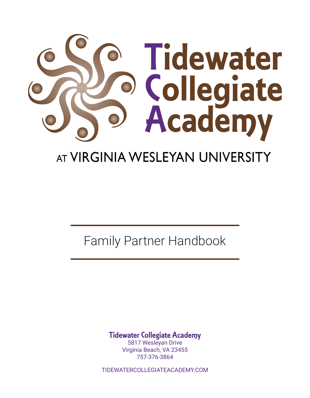

# AT VIRGINIA WESLEYAN UNIVERSITY

Family Partner Handbook

Tidewater Collegiate Academy

5817 Wesleyan Drive Virginia Beach, VA 23455 757-376-3864

TIDEWATERCOLLEGIATEACADEMY.COM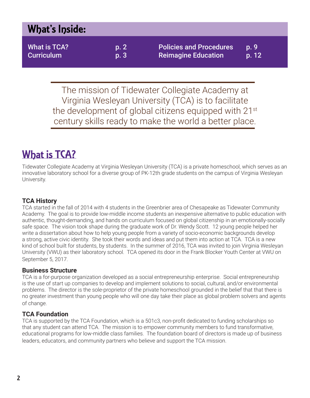# What's Inside:

What is TCA? b. 2 Curriculum p. 3 Policies and Procedures p. 9 Reimagine Education b. 12

The mission of Tidewater Collegiate Academy at Virginia Wesleyan University (TCA) is to facilitate the development of global citizens equipped with 21<sup>st</sup> century skills ready to make the world a better place.

# What is **TCA?**

Tidewater Collegiate Academy at Virginia Wesleyan University (TCA) is a private homeschool, which serves as an innovative laboratory school for a diverse group of PK-12th grade students on the campus of Virginia Wesleyan University.

# **TCA History**

TCA started in the fall of 2014 with 4 students in the Greenbrier area of Chesapeake as Tidewater Community Academy. The goal is to provide low-middle income students an inexpensive alternative to public education with authentic, thought-demanding, and hands on curriculum focused on global citizenship in an emotionally-socially safe space. The vision took shape during the graduate work of Dr. Wendy Scott. 12 young people helped her write a dissertation about how to help young people from a variety of socio-economic backgrounds develop a strong, active civic identity. She took their words and ideas and put them into action at TCA. TCA is a new kind of school built for students, by students. In the summer of 2016, TCA was invited to join Virginia Wesleyan University (VWU) as their laboratory school. TCA opened its door in the Frank Blocker Youth Center at VWU on September 5, 2017.

# **Business Structure**

TCA is a for-purpose organization developed as a social entrepreneurship enterprise. Social entrepreneurship is the use of start up companies to develop and implement solutions to social, cultural, and/or environmental problems. The director is the sole-proprietor of the private homeschool grounded in the belief that that there is no greater investment than young people who will one day take their place as global problem solvers and agents of change.

# **TCA Foundation**

TCA is supported by the TCA Foundation, which is a 501c3, non-profit dedicated to funding scholarships so that any student can attend TCA. The mission is to empower community members to fund transformative, educational programs for low-middle class families. The foundation board of directors is made up of business leaders, educators, and community partners who believe and support the TCA mission.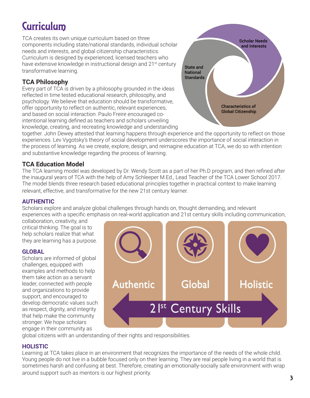# **Curriculum**

TCA creates its own unique curriculum based on three components including state/national standards, individual scholar needs and interests, and global citizenship characteristics. Curriculum is designed by experienced, licensed teachers who have extensive knowledge in instructional design and 21<sup>st</sup> century transformative learning.

# **TCA Philosophy**

Every part of TCA is driven by a philosophy grounded in the ideas reflected in time tested educational research, philosophy, and psychology. We believe that education should be transformative, offer opportunity to reflect on authentic, relevant experiences, and based on social interaction. Paulo Freire encouraged cointentional learning defined as teachers and scholars unveiling knowledge, creating, and recreating knowledge and understanding



together. John Dewey attested that learning happens through experience and the opportunity to reflect on those experiences. Lev Vygotsky's theory of social development underscores the importance of social interaction in the process of learning. As we create, explore, design, and reimagine education at TCA, we do so with intention and substantive knowledge regarding the process of learning.

## **TCA Education Model**

The TCA learning model was developed by Dr. Wendy Scott as a part of her Ph.D program, and then refined after the inaugural years of TCA with the help of Amy Schleeper M.Ed., Lead Teacher of the TCA Lower School 2017. The model blends three research based educational principles together in practical context to make learning relevant, effective, and transformative for the new 21st century learner.

## **AUTHENTIC**

Scholars explore and analyze global challenges through hands on, thought demanding, and relevant experiences with a specific emphasis on real-world application and 21st century skills including communication,

collaboration, creativity, and critical thinking. The goal is to help scholars realize that what they are learning has a purpose.

## **GLOBAL**

Scholars are informed of global challenges, equipped with examples and methods to help them take action as a servant leader, connected with people and organizations to provide support, and encouraged to develop democratic values such as respect, dignity, and integrity that help make the community stronger. We hope scholars engage in their community as



global citizens with an understanding of their rights and responsibilities.

# **HOLISTIC**

Learning at TCA takes place in an environment that recognizes the importance of the needs of the whole child. Young people do not live in a bubble focused only on their learning. They are real people living in a world that is sometimes harsh and confusing at best. Therefore, creating an emotionally-socially safe environment with wrap around support such as mentors is our highest priority.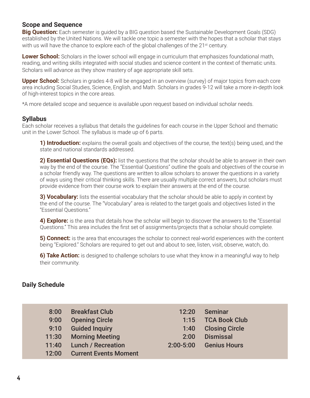## **Scope and Sequence**

**Big Question:** Each semester is quided by a BIG question based the Sustainable Development Goals (SDG) established by the United Nations. We will tackle one topic a semester with the hopes that a scholar that stays with us will have the chance to explore each of the global challenges of the  $21<sup>st</sup>$  century.

**Lower School:** Scholars in the lower school will engage in curriculum that emphasizes foundational math, reading, and writing skills integrated with social studies and science content in the context of thematic units. Scholars will advance as they show mastery of age appropriate skill sets.

**Upper School:** Scholars in grades 4-8 will be engaged in an overview (survey) of major topics from each core area including Social Studies, Science, English, and Math. Scholars in grades 9-12 will take a more in-depth look of high-interest topics in the core areas.

\*A more detailed scope and sequence is available upon request based on individual scholar needs.

#### **Syllabus**

Each scholar receives a syllabus that details the guidelines for each course in the Upper School and thematic unit in the Lower School. The syllabus is made up of 6 parts.

**1) Introduction:** explains the overall goals and objectives of the course, the text(s) being used, and the state and national standards addressed.

**2) Essential Questions (EQs):** list the questions that the scholar should be able to answer in their own way by the end of the course. The "Essential Questions" outline the goals and objectives of the course in a scholar friendly way. The questions are written to allow scholars to answer the questions in a variety of ways using their critical thinking skills. There are usually multiple correct answers, but scholars must provide evidence from their course work to explain their answers at the end of the course.

**3) Vocabulary:** lists the essential vocabulary that the scholar should be able to apply in context by the end of the course. The "Vocabulary" area is related to the target goals and objectives listed in the "Essential Questions."

**4) Explore:** is the area that details how the scholar will begin to discover the answers to the "Essential Questions." This area includes the first set of assignments/projects that a scholar should complete.

**5) Connect:** is the area that encourages the scholar to connect real-world experiences with the content being "Explored." Scholars are required to get out and about to see, listen, visit, observe, watch, do.

**6) Take Action:** is designed to challenge scholars to use what they know in a meaningful way to help their community.

### **Daily Schedule**

| 8:00  | <b>Breakfast Club</b>        | 12:20         | <b>Seminar</b>        |
|-------|------------------------------|---------------|-----------------------|
| 9:00  | <b>Opening Circle</b>        | 1:15          | <b>TCA Book Club</b>  |
| 9:10  | <b>Guided Inquiry</b>        | 1:40          | <b>Closing Circle</b> |
| 11:30 | <b>Morning Meeting</b>       | 2:00          | <b>Dismissal</b>      |
| 11:40 | <b>Lunch / Recreation</b>    | $2:00 - 5:00$ | <b>Genius Hours</b>   |
| 12:00 | <b>Current Events Moment</b> |               |                       |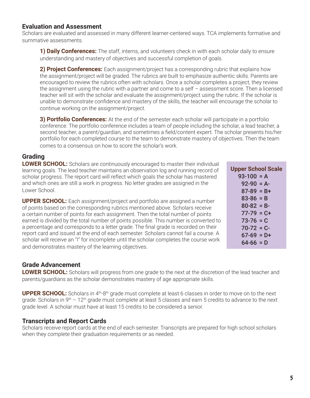## **Evaluation and Assessment**

Scholars are evaluated and assessed in many different learner-centered ways. TCA implements formative and summative assessments.

**1) Daily Conferences:** The staff, interns, and volunteers check in with each scholar daily to ensure understanding and mastery of objectives and successful completion of goals.

2) **Project Conferences:** Each assignment/project has a corresponding rubric that explains how the assignment/project will be graded. The rubrics are built to emphasize authentic skills. Parents are encouraged to review the rubrics often with scholars. Once a scholar completes a project, they review the assignment using the rubric with a partner and come to a self – assessment score. Then a licensed teacher will sit with the scholar and evaluate the assignment/project using the rubric. If the scholar is unable to demonstrate confidence and mastery of the skills, the teacher will encourage the scholar to continue working on the assignment/project.

**3) Portfolio Conferences:** At the end of the semester each scholar will participate in a portfolio conference. The portfolio conference includes a team of people including the scholar, a lead teacher, a second teacher, a parent/guardian, and sometimes a field/content expert. The scholar presents his/her portfolio for each completed course to the team to demonstrate mastery of objectives. Then the team comes to a consensus on how to score the scholar's work.

# **Grading**

**LOWER SCHOOL:** Scholars are continuously encouraged to master their individual learning goals. The lead teacher maintains an observation log and running record of scholar progress. The report card will reflect which goals the scholar has mastered and which ones are still a work in progress. No letter grades are assigned in the Lower School.

**UPPER SCHOOL:** Each assignment/project and portfolio are assigned a number of points based on the corresponding rubrics mentioned above. Scholars receive a certain number of points for each assignment. Then the total number of points earned is divided by the total number of points possible. This number is converted to a percentage and corresponds to a letter grade. The final grade is recorded on their report card and issued at the end of each semester. Scholars cannot fail a course. A scholar will receive an "I" for incomplete until the scholar completes the course work and demonstrates mastery of the learning objectives.

# **Grade Advancement**

**LOWER SCHOOL:** Scholars will progress from one grade to the next at the discretion of the lead teacher and parents/guardians as the scholar demonstrates mastery of age appropriate skills.

**UPPER SCHOOL:** Scholars in 4<sup>th</sup>-8<sup>th</sup> grade must complete at least 6 classes in order to move on to the next grade. Scholars in  $9<sup>th</sup> - 12<sup>th</sup>$  grade must complete at least 5 classes and earn 5 credits to advance to the next grade level. A scholar must have at least 15 credits to be considered a senior.

## **Transcripts and Report Cards**

Scholars receive report cards at the end of each semester. Transcripts are prepared for high school scholars when they complete their graduation requirements or as needed.

| <b>Upper School Scale</b> |
|---------------------------|
| $93-100 = A$              |
| 92-90 = A-                |
| $87-89 = B+$              |
| $83 - 86 = B$             |
| $80 - 82 = B -$           |
| $77-79 = C+$              |
| 73-76 = C                 |
| 70-72 = C-                |
| $67-69 = D+$              |
| 64-66 = D                 |
|                           |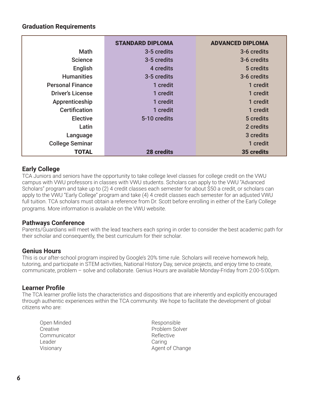## **Graduation Requirements**

|                         | <b>STANDARD DIPLOMA</b> | <b>ADVANCED DIPLOMA</b> |
|-------------------------|-------------------------|-------------------------|
| <b>Math</b>             | 3-5 credits             | 3-6 credits             |
| <b>Science</b>          | 3-5 credits             | 3-6 credits             |
| English                 | 4 credits               | 5 credits               |
| <b>Humanities</b>       | 3-5 credits             | 3-6 credits             |
| <b>Personal Finance</b> | 1 credit                | 1 credit                |
| <b>Driver's License</b> | 1 credit                | 1 credit                |
| Apprenticeship          | 1 credit                | 1 credit                |
| <b>Certification</b>    | 1 credit                | 1 credit                |
| <b>Elective</b>         | 5-10 credits            | 5 credits               |
| Latin                   |                         | 2 credits               |
| Language                |                         | 3 credits               |
| <b>College Seminar</b>  |                         | 1 credit                |
| <b>TOTAL</b>            | <b>28 credits</b>       | 35 credits              |

## **Early College**

TCA Juniors and seniors have the opportunity to take college level classes for college credit on the VWU campus with VWU professors in classes with VWU students. Scholars can apply to the VWU "Advanced Scholars" program and take up to (2) 4 credit classes each semester for about \$50 a credit, or scholars can apply to the VWU "Early College" program and take (4) 4 credit classes each semester for an adjusted VWU full tuition. TCA scholars must obtain a reference from Dr. Scott before enrolling in either of the Early College programs. More information is available on the VWU website.

### **Pathways Conference**

Parents/Guardians will meet with the lead teachers each spring in order to consider the best academic path for their scholar and consequently, the best curriculum for their scholar.

### **Genius Hours**

This is our after-school program inspired by Google's 20% time rule. Scholars will receive homework help, tutoring, and participate in STEM activities, National History Day, service projects, and enjoy time to create, communicate, problem – solve and collaborate. Genius Hours are available Monday-Friday from 2:00-5:00pm.

## **Learner Profile**

The TCA learner profile lists the characteristics and dispositions that are inherently and explicitly encouraged through authentic experiences within the TCA community. We hope to facilitate the development of global citizens who are:

Open Minded **Creative Communicator** Leader Visionary

Responsible Problem Solver Reflective **Caring** Agent of Change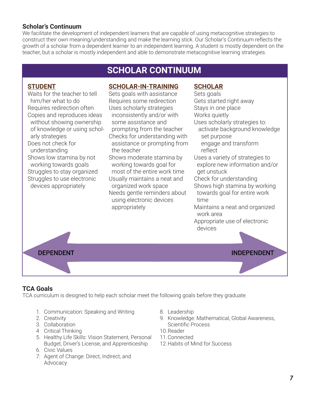## **Scholar's Continuum**

We facilitate the development of independent learners that are capable of using metacognitive strategies to construct their own meaning/understanding and make the learning stick. Our Scholar's Continuum reflects the growth of a scholar from a dependent learner to an independent learning. A student is mostly dependent on the teacher, but a scholar is mostly independent and able to demonstrate metacognitive learning strategies.

# **SCHOLAR CONTINUUM**

## **STUDENT**

Waits for the teacher to tell him/her what to do Requires redirection often Copies and reproduces ideas without showing ownership of knowledge or using scholarly strategies Does not check for understanding Shows low stamina by not working towards goals Struggles to stay organized Struggles to use electronic devices appropriately

## **SCHOLAR-IN-TRAINING**

Sets goals with assistance Requires some redirection Uses scholarly strategies inconsistently and/or with some assistance and prompting from the teacher Checks for understanding with assistance or prompting from the teacher Shows moderate stamina by working towards goal for most of the entire work time Usually maintains a neat and organized work space Needs gentle reminders about using electronic devices appropriately

## **SCHOLAR**

Sets goals Gets started right away Stays in one place Works quietly Uses scholarly strategies to: activate background knowledge set purpose engage and transform reflect Uses a variety of strategies to explore new information and/or get unstuck Check for understanding Shows high stamina by working towards goal for entire work time Maintains a neat and organized work area Appropriate use of electronic



# **TCA Goals**

TCA curriculum is designed to help each scholar meet the following goals before they graduate.

- 1. Communication: Speaking and Writing
- 2. Creativity
- 3. Collaboration
- 4 Critical Thinking
- 5. Healthy Life Skills: Vision Statement, Personal Budget, Driver's License, and Apprenticeship
- 6. Civic Values
- 7: Agent of Change: Direct, Indirect, and Advocacy
- 8. Leadership
- 9. Knowledge: Mathematical, Global Awareness, Scientific Process
- 10.Reader
- 11.Connected
- 12.Habits of Mind for Success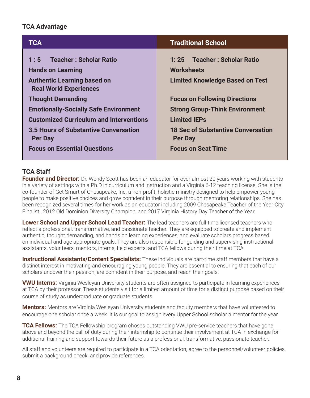## **TCA Advantage**

| <b>TCA</b>                                                                                                                                                                            | <b>Traditional School</b>                                                                                                                                           |  |
|---------------------------------------------------------------------------------------------------------------------------------------------------------------------------------------|---------------------------------------------------------------------------------------------------------------------------------------------------------------------|--|
| 1:5 Teacher: Scholar Ratio<br><b>Hands on Learning</b><br><b>Authentic Learning based on</b><br><b>Real World Experiences</b>                                                         | 1:25 Teacher: Scholar Ratio<br><b>Worksheets</b><br><b>Limited Knowledge Based on Test</b>                                                                          |  |
| <b>Thought Demanding</b><br><b>Emotionally-Socially Safe Environment</b><br><b>Customized Curriculum and Interventions</b><br>3.5 Hours of Substantive Conversation<br><b>Per Day</b> | <b>Focus on Following Directions</b><br><b>Strong Group-Think Environment</b><br><b>Limited IEPs</b><br><b>18 Sec of Substantive Conversation</b><br><b>Per Day</b> |  |
| <b>Focus on Essential Questions</b>                                                                                                                                                   | <b>Focus on Seat Time</b>                                                                                                                                           |  |

# **TCA Staff**

**Founder and Director:** Dr. Wendy Scott has been an educator for over almost 20 years working with students in a variety of settings with a Ph.D in curriculum and instruction and a Virginia 6-12 teaching license. She is the co-founder of Get Smart of Chesapeake, Inc. a non-profit, holistic ministry designed to help empower young people to make positive choices and grow confident in their purpose through mentoring relationships. She has been recognized several times for her work as an educator including 2009 Chesapeake Teacher of the Year City Finalist , 2012 Old Dominion Diversity Champion, and 2017 Virginia History Day Teacher of the Year.

**Lower School and Upper School Lead Teacher:** The lead teachers are full-time licensed teachers who reflect a professional, transformative, and passionate teacher. They are equipped to create and implement authentic, thought demanding, and hands on learning experiences, and evaluate scholars progress based on individual and age appropriate goals. They are also responsible for guiding and supervising instructional assistants, volunteers, mentors, interns, field experts, and TCA fellows during their time at TCA.

**Instructional Assistants/Content Specialists:** These individuals are part-time staff members that have a distinct interest in motivating and encouraging young people. They are essential to ensuring that each of our scholars uncover their passion, are confident in their purpose, and reach their goals.

**VWU Interns:** Virginia Wesleyan University students are often assigned to participate in learning experiences at TCA by their professor. These students visit for a limited amount of time for a distinct purpose based on their course of study as undergraduate or graduate students.

**Mentors:** Mentors are Virginia Wesleyan University students and faculty members that have volunteered to encourage one scholar once a week. It is our goal to assign every Upper School scholar a mentor for the year.

**TCA Fellows:** The TCA Fellowship program choses outstanding VWU pre-service teachers that have gone above and beyond the call of duty during their internship to continue their involvement at TCA in exchange for additional training and support towards their future as a professional, transformative, passionate teacher.

All staff and volunteers are required to participate in a TCA orientation, agree to the personnel/volunteer policies, submit a background check, and provide references.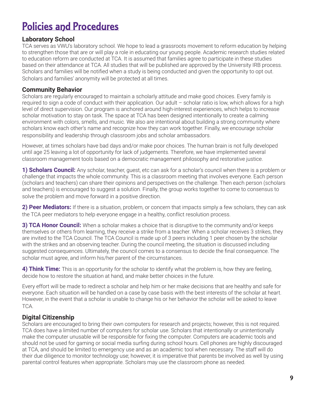# Policies and Procedures

# **Laboratory School**

TCA serves as VWU's laboratory school. We hope to lead a grassroots movement to reform education by helping to strengthen those that are or will play a role in educating our young people. Academic research studies related to education reform are conducted at TCA. It is assumed that families agree to participate in these studies based on their attendance at TCA. All studies that will be published are approved by the University IRB process. Scholars and families will be notified when a study is being conducted and given the opportunity to opt out. Scholars and families' anonymity will be protected at all times.

## **Community Behavior**

Scholars are regularly encouraged to maintain a scholarly attitude and make good choices. Every family is required to sign a code of conduct with their application. Our adult – scholar ratio is low, which allows for a high level of direct supervision. Our program is anchored around high-interest experiences, which helps to increase scholar motivation to stay on task. The space at TCA has been designed intentionally to create a calming environment with colors, smells, and music. We also are intentional about building a strong community where scholars know each other's name and recognize how they can work together. Finally, we encourage scholar responsibility and leadership through classroom jobs and scholar ambassadors.

However, at times scholars have bad days and/or make poor choices. The human brain is not fully developed until age 25 leaving a lot of opportunity for lack of judgements. Therefore, we have implemented several classroom management tools based on a democratic management philosophy and restorative justice.

**1) Scholars Council:** Any scholar, teacher, guest, etc can ask for a scholar's council when there is a problem or challenge that impacts the whole community. This is a classroom meeting that involves everyone. Each person (scholars and teachers) can share their opinions and perspectives on the challenge. Then each person (scholars and teachers) is encouraged to suggest a solution. Finally, the group works together to come to consensus to solve the problem and move forward in a positive direction.

**2) Peer Mediators:** If there is a situation, problem, or concern that impacts simply a few scholars, they can ask the TCA peer mediators to help everyone engage in a healthy, conflict resolution process.

**3) TCA Honor Council:** When a scholar makes a choice that is disruptive to the community and/or keeps themselves or others from learning, they receive a strike from a teacher. When a scholar receives 3 strikes, they are invited to the TCA Council. The TCA Council is made up of 3 peers including 1 peer chosen by the scholar with the strikes and an observing teacher. During the council meeting, the situation is discussed including suggested consequences. Ultimately, the council comes to a consensus to decide the final consequence. The scholar must agree, and inform his/her parent of the circumstances.

**4) Think Time:** This is an opportunity for the scholar to identify what the problem is, how they are feeling, decide how to restore the situation at hand, and make better choices in the future.

Every effort will be made to redirect a scholar and help him or her make decisions that are healthy and safe for everyone. Each situation will be handled on a case by case basis with the best interests of the scholar at heart. However, in the event that a scholar is unable to change his or her behavior the scholar will be asked to leave TCA.

# **Digital Citizenship**

Scholars are encouraged to bring their own computers for research and projects; however, this is not required. TCA does have a limited number of computers for scholar use. Scholars that intentionally or unintentionally make the computer unusable will be responsible for fixing the computer. Computers are academic tools and should not be used for gaming or social media surfing during school hours. Cell phones are highly discouraged at TCA, and should be limited to emergency use and as an academic tool when necessary. The staff will do their due diligence to monitor technology use; however, it is imperative that parents be involved as well by using parental control features when appropriate. Scholars may use the classroom phone as needed.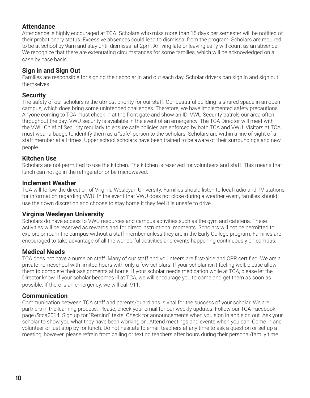# **Attendance**

Attendance is highly encouraged at TCA. Scholars who miss more than 15 days per semester will be notified of their probationary status. Excessive absences could lead to dismissal from the program. Scholars are required to be at school by 9am and stay until dismissal at 2pm. Arriving late or leaving early will count as an absence. We recognize that there are extenuating circumstances for some families, which will be acknowledged on a case by case basis.

# **Sign in and Sign Out**

Families are responsible for signing their scholar in and out each day. Scholar drivers can sign in and sign out themselves.

## **Security**

The safety of our scholars is the utmost priority for our staff. Our beautiful building is shared space in an open campus, which does bring some unintended challenges. Therefore, we have implemented safety precautions. Anyone coming to TCA must check in at the front gate and show an ID. VWU Security patrols our area often throughout the day. VWU security is available in the event of an emergency. The TCA Director will meet with the VWU Chief of Security regularly to ensure safe policies are enforced by both TCA and VWU. Visitors at TCA must wear a badge to identify them as a "safe" person to the scholars. Scholars are within a line of sight of a staff member at all times. Upper school scholars have been trained to be aware of their surroundings and new people.

## **Kitchen Use**

Scholars are not permitted to use the kitchen. The kitchen is reserved for volunteers and staff. This means that lunch can not go in the refrigerator or be microwaved.

## **Inclement Weather**

TCA will follow the direction of Virginia Wesleyan University. Families should listen to local radio and TV stations for information regarding VWU. In the event that VWU does not close during a weather event, families should use their own discretion and choose to stay home if they feel it is unsafe to drive.

## **Virginia Wesleyan University**

Scholars do have access to VWU resources and campus activities such as the gym and cafeteria. These activities will be reserved as rewards and for direct instructional moments. Scholars will not be permitted to explore or roam the campus without a staff member unless they are in the Early College program. Families are encouraged to take advantage of all the wonderful activities and events happening continuously on campus.

## **Medical Needs**

TCA does not have a nurse on staff. Many of our staff and volunteers are first-aide and CPR certified. We are a private homeschool with limited hours with only a few scholars. If your scholar isn't feeling well, please allow them to complete their assignments at home. If your scholar needs medication while at TCA, please let the Director know. If your scholar becomes ill at TCA, we will encourage you to come and get them as soon as possible. If there is an emergency, we will call 911.

## **Communication**

Communication between TCA staff and parents/guardians is vital for the success of your scholar. We are partners in the learning process. Please, check your email for our weekly updates. Follow our TCA Facebook page @tca2014. Sign up for "Remind" texts. Check for announcements when you sign in and sign out. Ask your scholar to show you what they have been working on. Attend meetings and events when you can. Come in and volunteer or just stop by for lunch. Do not hesitate to email teachers at any time to ask a question or set up a meeting; however, please refrain from calling or texting teachers after hours during their personal/family time.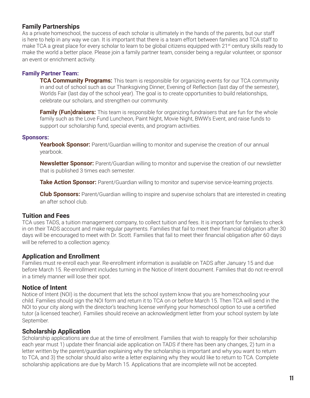## **Family Partnerships**

As a private homeschool, the success of each scholar is ultimately in the hands of the parents, but our staff is here to help in any way we can. It is important that there is a team effort between families and TCA staff to make TCA a great place for every scholar to learn to be global citizens equipped with 21<sup>st</sup> century skills ready to make the world a better place. Please join a family partner team, consider being a regular volunteer, or sponsor an event or enrichment activity.

## **Family Partner Team:**

**TCA Community Programs:** This team is responsible for organizing events for our TCA community in and out of school such as our Thanksgiving Dinner, Evening of Reflection (last day of the semester), Worlds Fair (last day of the school year). The goal is to create opportunities to build relationships, celebrate our scholars, and strengthen our community.

**Family (Fun)draisers:** This team is responsible for organizing fundraisers that are fun for the whole family such as the Love Fund Luncheon, Paint Night, Movie Night, BWW's Event, and raise funds to support our scholarship fund, special events, and program activities.

#### **Sponsors:**

**Yearbook Sponsor:** Parent/Guardian willing to monitor and supervise the creation of our annual yearbook.

**Newsletter Sponsor:** Parent/Guardian willing to monitor and supervise the creation of our newsletter that is published 3 times each semester.

**Take Action Sponsor:** Parent/Guardian willing to monitor and supervise service-learning projects.

**Club Sponsors:** Parent/Guardian willing to inspire and supervise scholars that are interested in creating an after school club.

### **Tuition and Fees**

TCA uses TADS, a tuition management company, to collect tuition and fees. It is important for families to check in on their TADS account and make regular payments. Families that fail to meet their financial obligation after 30 days will be encouraged to meet with Dr. Scott. Families that fail to meet their financial obligation after 60 days will be referred to a collection agency.

## **Application and Enrollment**

Families must re-enroll each year. Re-enrollment information is available on TADS after January 15 and due before March 15. Re-enrollment includes turning in the Notice of Intent document. Families that do not re-enroll in a timely manner will lose their spot.

### **Notice of Intent**

Notice of Intent (NOI) is the document that lets the school system know that you are homeschooling your child. Families should sign the NOI form and return it to TCA on or before March 15. Then TCA will send in the NOI to your city along with the director's teaching license verifying your homeschool option to use a certified tutor (a licensed teacher). Families should receive an acknowledgment letter from your school system by late September.

### **Scholarship Application**

Scholarship applications are due at the time of enrollment. Families that wish to reapply for their scholarship each year must 1) update their financial aide application on TADS if there has been any changes, 2) turn in a letter written by the parent/guardian explaining why the scholarship is important and why you want to return to TCA, and 3) the scholar should also write a letter explaining why they would like to return to TCA. Complete scholarship applications are due by March 15. Applications that are incomplete will not be accepted.